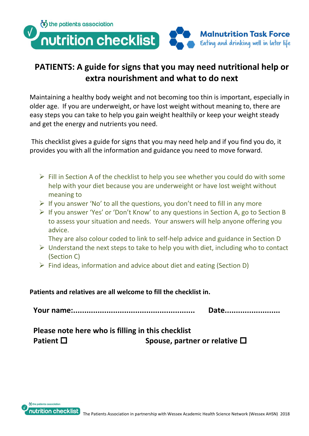

## **PATIENTS: A guide for signs that you may need nutritional help or extra nourishment and what to do next**

Maintaining a healthy body weight and not becoming too thin is important, especially in older age. If you are underweight, or have lost weight without meaning to, there are easy steps you can take to help you gain weight healthily or keep your weight steady and get the energy and nutrients you need.

This checklist gives a guide for signs that you may need help and if you find you do, it provides you with all the information and guidance you need to move forward.

- $\triangleright$  Fill in Section A of the checklist to help you see whether you could do with some help with your diet because you are underweight or have lost weight without meaning to
- $\triangleright$  If you answer 'No' to all the questions, you don't need to fill in any more
- ➢ If you answer 'Yes' or 'Don't Know' to any questions in Section A, go to Section B to assess your situation and needs. Your answers will help anyone offering you advice.

They are also colour coded to link to self-help advice and guidance in Section D

- $\triangleright$  Understand the next steps to take to help you with diet, including who to contact (Section C)
- ➢ Find ideas, information and advice about diet and eating (Section D)

**Patients and relatives are all welcome to fill the checklist in.**

**Your name:....................................................... Date.........................**

| Please note here who is filling in this checklist |                                       |
|---------------------------------------------------|---------------------------------------|
| Patient $\square$                                 | Spouse, partner or relative $\square$ |

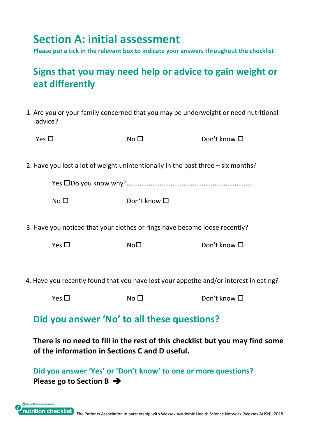## **Section A: initial assessment**

**Please put a tick in the relevant box to indicate your answers throughout the checklist**

## **Signs that you may need help or advice to gain weight or eat differently**

1. Are you or your family concerned that you may be underweight or need nutritional advice?

| Yes $\Box$      | No <sub>1</sub>                                                                  | Don't know $\Box$ |
|-----------------|----------------------------------------------------------------------------------|-------------------|
|                 |                                                                                  |                   |
|                 | 2. Have you lost a lot of weight unintentionally in the past three – six months? |                   |
|                 |                                                                                  |                   |
| No <sub>1</sub> | Don't know $\square$                                                             |                   |
|                 |                                                                                  |                   |

3. Have you noticed that your clothes or rings have become loose recently?

| Yes $\square$ | No <sub>D</sub> | Don't know $\square$ |
|---------------|-----------------|----------------------|
|               |                 |                      |

4. Have you recently found that you have lost your appetite and/or interest in eating?

| Yes $\Box$<br>No <sub>1</sub> | Don't know $\square$ |
|-------------------------------|----------------------|
|-------------------------------|----------------------|

## **Did you answer 'No' to all these questions?**

**There is no need to fill in the rest of this checklist but you may find some of the information in Sections C and D useful.**

**Did you answer 'Yes' or 'Don't know' to one or more questions? Please go to Section B** ➔

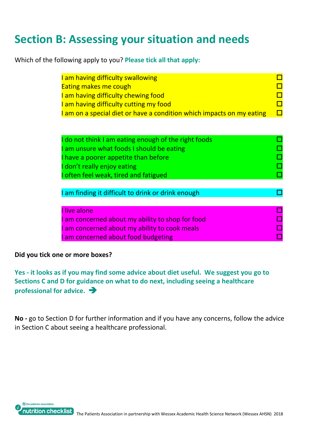## **Section B: Assessing your situation and needs**

Which of the following apply to you? **Please tick all that apply:**

| am having difficulty swallowing<br><b>Eating makes me cough</b><br>am having difficulty chewing food<br>am having difficulty cutting my food<br>am on a special diet or have a condition which impacts on my eating |  |
|---------------------------------------------------------------------------------------------------------------------------------------------------------------------------------------------------------------------|--|
| I do not think I am eating enough of the right foods<br>am unsure what foods I should be eating<br>I have a poorer appetite than before<br>don't really enjoy eating<br>I often feel weak, tired and fatigued       |  |
| I am finding it difficult to drink or drink enough                                                                                                                                                                  |  |
| I live alone<br>am concerned about my ability to shop for food<br>am concerned about my ability to cook meals<br>am concerned about food budgeting                                                                  |  |

#### **Did you tick one or more boxes?**

**Yes - it looks as if you may find some advice about diet useful. We suggest you go to Sections C and D for guidance on what to do next, including seeing a healthcare professional for advice.** ➔

**No -** go to Section D for further information and if you have any concerns, follow the advice in Section C about seeing a healthcare professional.

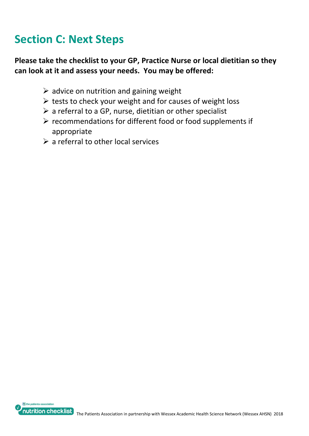# **Section C: Next Steps**

### **Please take the checklist to your GP, Practice Nurse or local dietitian so they can look at it and assess your needs. You may be offered:**

- $\triangleright$  advice on nutrition and gaining weight
- $\triangleright$  tests to check your weight and for causes of weight loss
- $\triangleright$  a referral to a GP, nurse, dietitian or other specialist
- ➢ recommendations for different food or food supplements if appropriate
- $\triangleright$  a referral to other local services

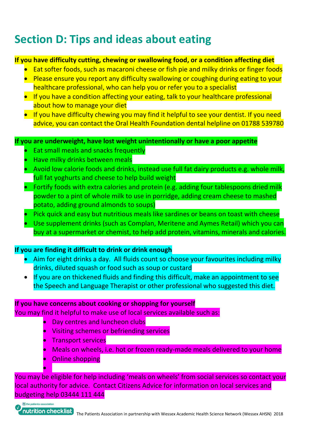# **Section D: Tips and ideas about eating**

### **If you have difficulty cutting, chewing or swallowing food, or a condition affecting diet**

- Eat softer foods, such as macaroni cheese or fish pie and milky drinks or finger foods
- Please ensure you report any difficulty swallowing or coughing during eating to your healthcare professional, who can help you or refer you to a specialist
- If you have a condition affecting your eating, talk to your healthcare professional about how to manage your diet
- If you have difficulty chewing you may find it helpful to see your dentist. If you need advice, you can contact the Oral Health Foundation dental helpline on 01788 539780

**If you are underweight, have lost weight unintentionally or have a poor appetite**

- Eat small meals and snacks frequently
- Have milky drinks between meals
- Avoid low calorie foods and drinks, instead use full fat dairy products e.g. whole milk, full fat yoghurts and cheese to help build weight
- Fortify foods with extra calories and protein (e.g. adding four tablespoons dried milk powder to a pint of whole milk to use in porridge, adding cream cheese to mashed potato, adding ground almonds to soups)
- Pick quick and easy but nutritious meals like sardines or beans on toast with cheese
- Use supplement drinks (such as Complan, Meritene and Aymes Retail) which you can buy at a supermarket or chemist, to help add protein, vitamins, minerals and calories.

### **If you are finding it difficult to drink or drink enough**

- Aim for eight drinks a day. All fluids count so choose your favourites including milky drinks, diluted squash or food such as soup or custard
- If you are on thickened fluids and finding this difficult, make an appointment to see the Speech and Language Therapist or other professional who suggested this diet.

#### **If you have concerns about cooking or shopping for yourself**

You may find it helpful to make use of local services available such as:

- Day centres and luncheon clubs
- Visiting schemes or befriending services
- Transport services
- Meals on wheels, i.e. hot or frozen ready-made meals delivered to your home
- Online shopping

You may be eligible for help including 'meals on wheels' from social services so contact your local authority for advice. Contact Citizens Advice for information on local services and budgeting help 03444 111 444



•